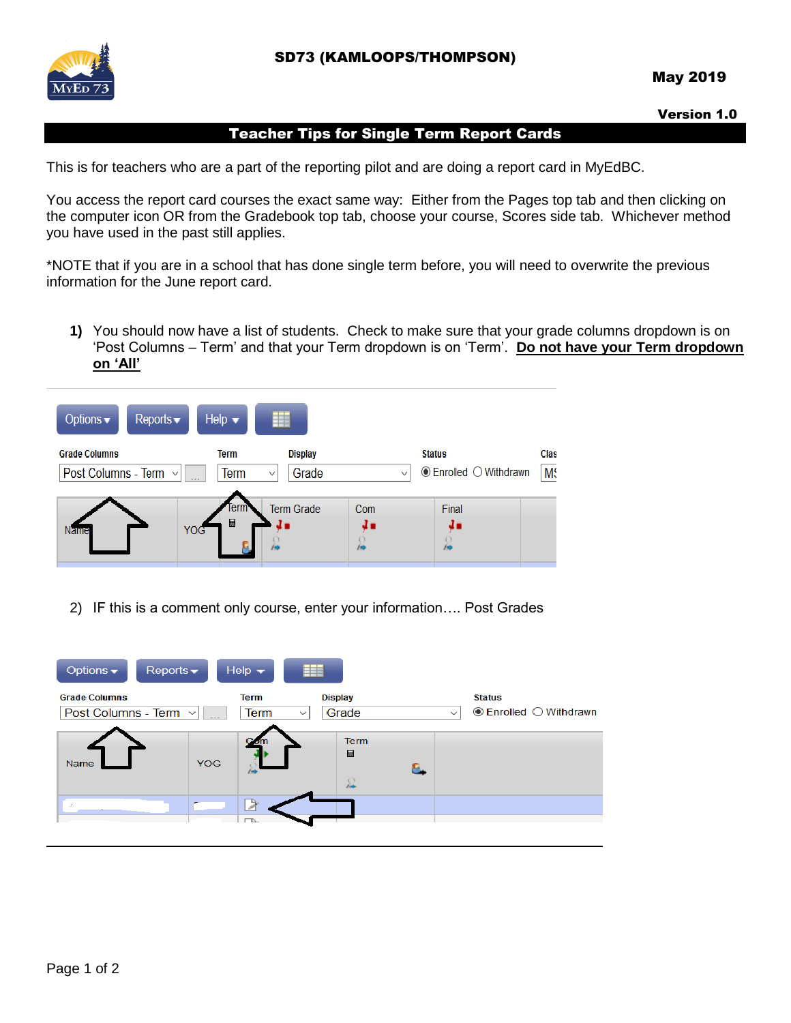

## Version 1.0

## Teacher Tips for Single Term Report Cards

This is for teachers who are a part of the reporting pilot and are doing a report card in MyEdBC.

You access the report card courses the exact same way: Either from the Pages top tab and then clicking on the computer icon OR from the Gradebook top tab, choose your course, Scores side tab. Whichever method you have used in the past still applies.

\*NOTE that if you are in a school that has done single term before, you will need to overwrite the previous information for the June report card.

**1)** You should now have a list of students. Check to make sure that your grade columns dropdown is on 'Post Columns – Term' and that your Term dropdown is on 'Term'. **Do not have your Term dropdown on 'All'**



2) IF this is a comment only course, enter your information…. Post Grades